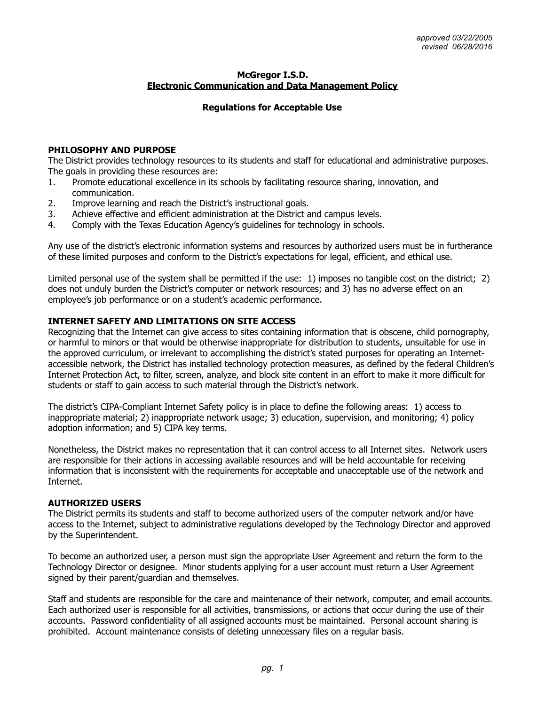## **McGregor I.S.D. Electronic Communication and Data Management Policy**

### **Regulations for Acceptable Use**

## **PHILOSOPHY AND PURPOSE**

The District provides technology resources to its students and staff for educational and administrative purposes. The goals in providing these resources are:

- 1. Promote educational excellence in its schools by facilitating resource sharing, innovation, and communication.
- 2. Improve learning and reach the District's instructional goals.
- 3. Achieve effective and efficient administration at the District and campus levels.
- 4. Comply with the Texas Education Agency's guidelines for technology in schools.

Any use of the district's electronic information systems and resources by authorized users must be in furtherance of these limited purposes and conform to the District's expectations for legal, efficient, and ethical use.

Limited personal use of the system shall be permitted if the use: 1) imposes no tangible cost on the district; 2) does not unduly burden the District's computer or network resources; and 3) has no adverse effect on an employee's job performance or on a student's academic performance.

## **INTERNET SAFETY AND LIMITATIONS ON SITE ACCESS**

Recognizing that the Internet can give access to sites containing information that is obscene, child pornography, or harmful to minors or that would be otherwise inappropriate for distribution to students, unsuitable for use in the approved curriculum, or irrelevant to accomplishing the district's stated purposes for operating an Internetaccessible network, the District has installed technology protection measures, as defined by the federal Children's Internet Protection Act, to filter, screen, analyze, and block site content in an effort to make it more difficult for students or staff to gain access to such material through the District's network.

The district's CIPA-Compliant Internet Safety policy is in place to define the following areas: 1) access to inappropriate material; 2) inappropriate network usage; 3) education, supervision, and monitoring; 4) policy adoption information; and 5) CIPA key terms.

Nonetheless, the District makes no representation that it can control access to all Internet sites. Network users are responsible for their actions in accessing available resources and will be held accountable for receiving information that is inconsistent with the requirements for acceptable and unacceptable use of the network and Internet.

#### **AUTHORIZED USERS**

The District permits its students and staff to become authorized users of the computer network and/or have access to the Internet, subject to administrative regulations developed by the Technology Director and approved by the Superintendent.

To become an authorized user, a person must sign the appropriate User Agreement and return the form to the Technology Director or designee. Minor students applying for a user account must return a User Agreement signed by their parent/guardian and themselves.

Staff and students are responsible for the care and maintenance of their network, computer, and email accounts. Each authorized user is responsible for all activities, transmissions, or actions that occur during the use of their accounts. Password confidentiality of all assigned accounts must be maintained. Personal account sharing is prohibited. Account maintenance consists of deleting unnecessary files on a regular basis.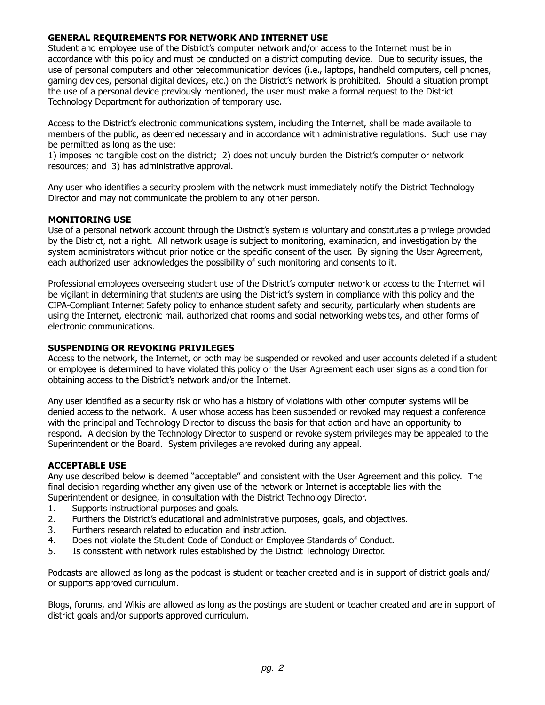## **GENERAL REQUIREMENTS FOR NETWORK AND INTERNET USE**

Student and employee use of the District's computer network and/or access to the Internet must be in accordance with this policy and must be conducted on a district computing device. Due to security issues, the use of personal computers and other telecommunication devices (i.e., laptops, handheld computers, cell phones, gaming devices, personal digital devices, etc.) on the District's network is prohibited. Should a situation prompt the use of a personal device previously mentioned, the user must make a formal request to the District Technology Department for authorization of temporary use.

Access to the District's electronic communications system, including the Internet, shall be made available to members of the public, as deemed necessary and in accordance with administrative regulations. Such use may be permitted as long as the use:

1) imposes no tangible cost on the district; 2) does not unduly burden the District's computer or network resources; and 3) has administrative approval.

Any user who identifies a security problem with the network must immediately notify the District Technology Director and may not communicate the problem to any other person.

## **MONITORING USE**

Use of a personal network account through the District's system is voluntary and constitutes a privilege provided by the District, not a right. All network usage is subject to monitoring, examination, and investigation by the system administrators without prior notice or the specific consent of the user. By signing the User Agreement, each authorized user acknowledges the possibility of such monitoring and consents to it.

Professional employees overseeing student use of the District's computer network or access to the Internet will be vigilant in determining that students are using the District's system in compliance with this policy and the CIPA-Compliant Internet Safety policy to enhance student safety and security, particularly when students are using the Internet, electronic mail, authorized chat rooms and social networking websites, and other forms of electronic communications.

## **SUSPENDING OR REVOKING PRIVILEGES**

Access to the network, the Internet, or both may be suspended or revoked and user accounts deleted if a student or employee is determined to have violated this policy or the User Agreement each user signs as a condition for obtaining access to the District's network and/or the Internet.

Any user identified as a security risk or who has a history of violations with other computer systems will be denied access to the network. A user whose access has been suspended or revoked may request a conference with the principal and Technology Director to discuss the basis for that action and have an opportunity to respond. A decision by the Technology Director to suspend or revoke system privileges may be appealed to the Superintendent or the Board. System privileges are revoked during any appeal.

## **ACCEPTABLE USE**

Any use described below is deemed "acceptable" and consistent with the User Agreement and this policy. The final decision regarding whether any given use of the network or Internet is acceptable lies with the Superintendent or designee, in consultation with the District Technology Director.

- 1. Supports instructional purposes and goals.
- 2. Furthers the District's educational and administrative purposes, goals, and objectives.
- 3. Furthers research related to education and instruction.
- 4. Does not violate the Student Code of Conduct or Employee Standards of Conduct.
- 5. Is consistent with network rules established by the District Technology Director.

Podcasts are allowed as long as the podcast is student or teacher created and is in support of district goals and/ or supports approved curriculum.

Blogs, forums, and Wikis are allowed as long as the postings are student or teacher created and are in support of district goals and/or supports approved curriculum.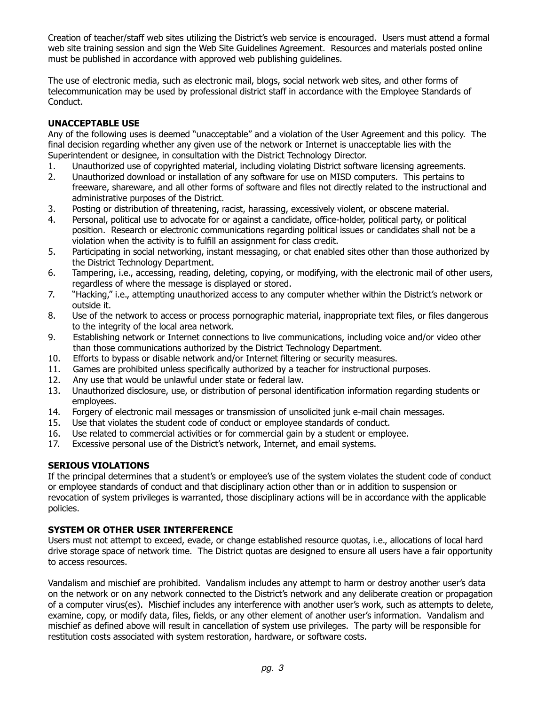Creation of teacher/staff web sites utilizing the District's web service is encouraged. Users must attend a formal web site training session and sign the Web Site Guidelines Agreement. Resources and materials posted online must be published in accordance with approved web publishing guidelines.

The use of electronic media, such as electronic mail, blogs, social network web sites, and other forms of telecommunication may be used by professional district staff in accordance with the Employee Standards of Conduct.

## **UNACCEPTABLE USE**

Any of the following uses is deemed "unacceptable" and a violation of the User Agreement and this policy. The final decision regarding whether any given use of the network or Internet is unacceptable lies with the Superintendent or designee, in consultation with the District Technology Director.

- 1. Unauthorized use of copyrighted material, including violating District software licensing agreements.
- 2. Unauthorized download or installation of any software for use on MISD computers. This pertains to freeware, shareware, and all other forms of software and files not directly related to the instructional and administrative purposes of the District.
- 3. Posting or distribution of threatening, racist, harassing, excessively violent, or obscene material.
- 4. Personal, political use to advocate for or against a candidate, office-holder, political party, or political position. Research or electronic communications regarding political issues or candidates shall not be a violation when the activity is to fulfill an assignment for class credit.
- 5. Participating in social networking, instant messaging, or chat enabled sites other than those authorized by the District Technology Department.
- 6. Tampering, i.e., accessing, reading, deleting, copying, or modifying, with the electronic mail of other users, regardless of where the message is displayed or stored.
- 7. "Hacking," i.e., attempting unauthorized access to any computer whether within the District's network or outside it.
- 8. Use of the network to access or process pornographic material, inappropriate text files, or files dangerous to the integrity of the local area network.
- 9. Establishing network or Internet connections to live communications, including voice and/or video other than those communications authorized by the District Technology Department.
- 10. Efforts to bypass or disable network and/or Internet filtering or security measures.
- 11. Games are prohibited unless specifically authorized by a teacher for instructional purposes.
- 12. Any use that would be unlawful under state or federal law.
- 13. Unauthorized disclosure, use, or distribution of personal identification information regarding students or employees.
- 14. Forgery of electronic mail messages or transmission of unsolicited junk e-mail chain messages.
- 15. Use that violates the student code of conduct or employee standards of conduct.
- 16. Use related to commercial activities or for commercial gain by a student or employee.
- 17. Excessive personal use of the District's network, Internet, and email systems.

## **SERIOUS VIOLATIONS**

If the principal determines that a student's or employee's use of the system violates the student code of conduct or employee standards of conduct and that disciplinary action other than or in addition to suspension or revocation of system privileges is warranted, those disciplinary actions will be in accordance with the applicable policies.

## **SYSTEM OR OTHER USER INTERFERENCE**

Users must not attempt to exceed, evade, or change established resource quotas, i.e., allocations of local hard drive storage space of network time. The District quotas are designed to ensure all users have a fair opportunity to access resources.

Vandalism and mischief are prohibited. Vandalism includes any attempt to harm or destroy another user's data on the network or on any network connected to the District's network and any deliberate creation or propagation of a computer virus(es). Mischief includes any interference with another user's work, such as attempts to delete, examine, copy, or modify data, files, fields, or any other element of another user's information. Vandalism and mischief as defined above will result in cancellation of system use privileges. The party will be responsible for restitution costs associated with system restoration, hardware, or software costs.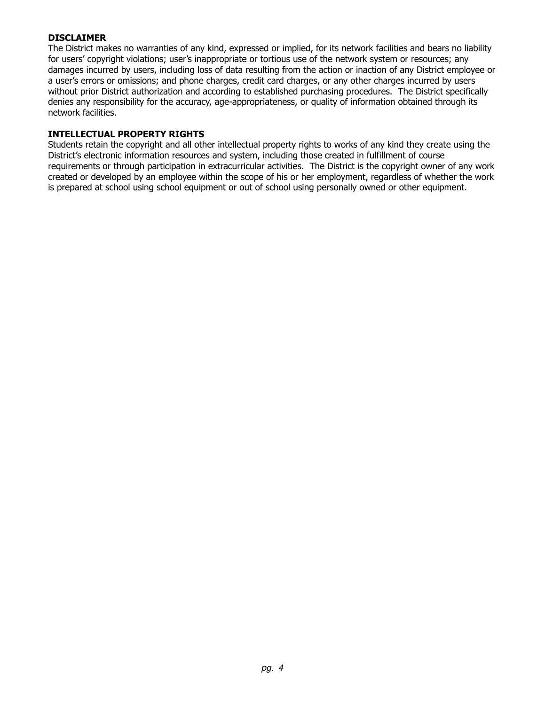## **DISCLAIMER**

The District makes no warranties of any kind, expressed or implied, for its network facilities and bears no liability for users' copyright violations; user's inappropriate or tortious use of the network system or resources; any damages incurred by users, including loss of data resulting from the action or inaction of any District employee or a user's errors or omissions; and phone charges, credit card charges, or any other charges incurred by users without prior District authorization and according to established purchasing procedures. The District specifically denies any responsibility for the accuracy, age-appropriateness, or quality of information obtained through its network facilities.

## **INTELLECTUAL PROPERTY RIGHTS**

Students retain the copyright and all other intellectual property rights to works of any kind they create using the District's electronic information resources and system, including those created in fulfillment of course requirements or through participation in extracurricular activities. The District is the copyright owner of any work created or developed by an employee within the scope of his or her employment, regardless of whether the work is prepared at school using school equipment or out of school using personally owned or other equipment.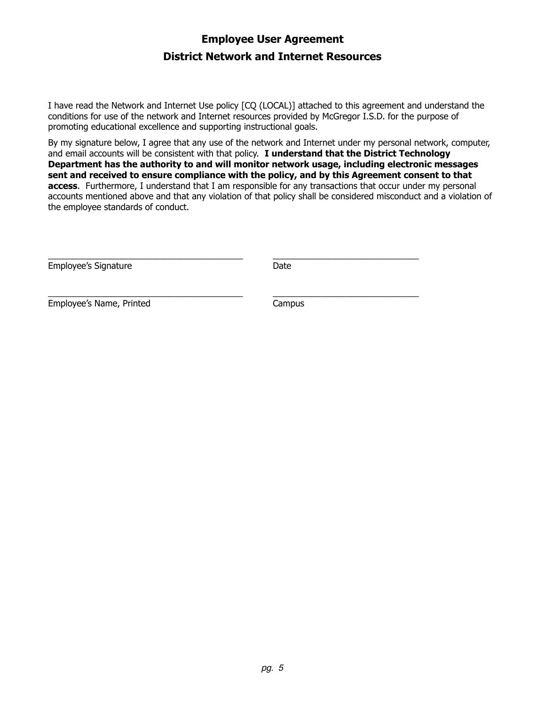# **Employee User Agreement District Network and Internet Resources**

I have read the Network and Internet Use policy [CQ (LOCAL)] attached to this agreement and understand the conditions for use of the network and Internet resources provided by McGregor I.S.D. for the purpose of promoting educational excellence and supporting instructional goals.

By my signature below, I agree that any use of the network and Internet under my personal network, computer, and email accounts will be consistent with that policy. **I understand that the District Technology Department has the authority to and will monitor network usage, including electronic messages sent and received to ensure compliance with the policy, and by this Agreement consent to that access**. Furthermore, I understand that I am responsible for any transactions that occur under my personal accounts mentioned above and that any violation of that policy shall be considered misconduct and a violation of the employee standards of conduct.

Employee's Signature and Date Date

\_\_\_\_\_\_\_\_\_\_\_\_\_\_\_\_\_\_\_\_\_\_\_\_\_\_\_\_\_\_\_\_\_\_\_\_\_\_\_\_ \_\_\_\_\_\_\_\_\_\_\_\_\_\_\_\_\_\_\_\_\_\_\_\_\_\_\_\_\_\_

\_\_\_\_\_\_\_\_\_\_\_\_\_\_\_\_\_\_\_\_\_\_\_\_\_\_\_\_\_\_\_\_\_\_\_\_\_\_\_\_ \_\_\_\_\_\_\_\_\_\_\_\_\_\_\_\_\_\_\_\_\_\_\_\_\_\_\_\_\_\_

Employee's Name, Printed Campus